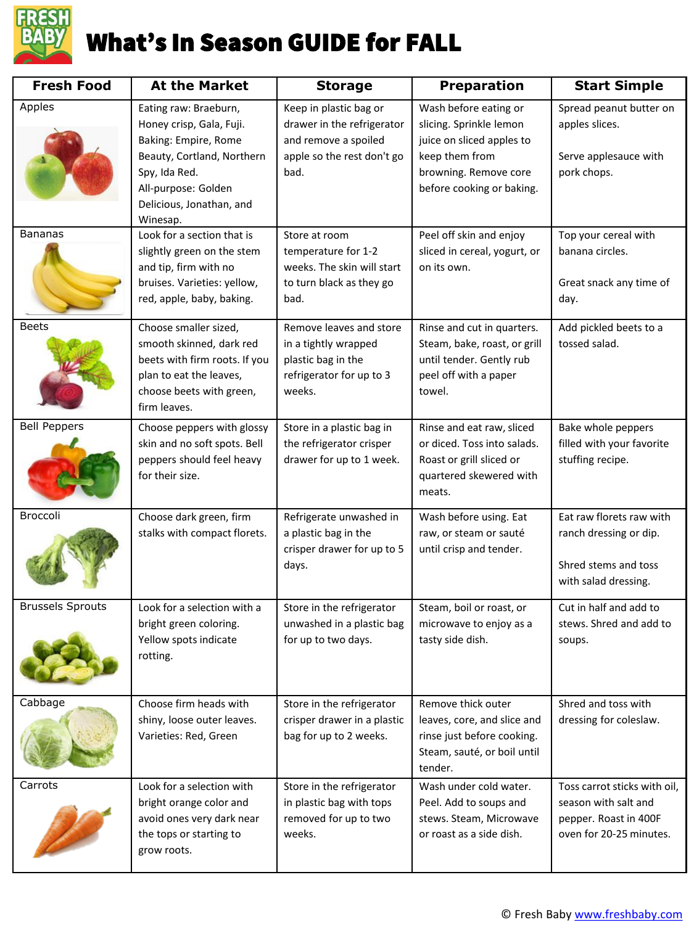

| <b>Fresh Food</b>       | <b>At the Market</b>                                                                                                                                                                    | <b>Storage</b>                                                                                                     | <b>Preparation</b>                                                                                                                                    | <b>Start Simple</b>                                                                                      |
|-------------------------|-----------------------------------------------------------------------------------------------------------------------------------------------------------------------------------------|--------------------------------------------------------------------------------------------------------------------|-------------------------------------------------------------------------------------------------------------------------------------------------------|----------------------------------------------------------------------------------------------------------|
| Apples                  | Eating raw: Braeburn,<br>Honey crisp, Gala, Fuji.<br>Baking: Empire, Rome<br>Beauty, Cortland, Northern<br>Spy, Ida Red.<br>All-purpose: Golden<br>Delicious, Jonathan, and<br>Winesap. | Keep in plastic bag or<br>drawer in the refrigerator<br>and remove a spoiled<br>apple so the rest don't go<br>bad. | Wash before eating or<br>slicing. Sprinkle lemon<br>juice on sliced apples to<br>keep them from<br>browning. Remove core<br>before cooking or baking. | Spread peanut butter on<br>apples slices.<br>Serve applesauce with<br>pork chops.                        |
| <b>Bananas</b>          | Look for a section that is<br>slightly green on the stem<br>and tip, firm with no<br>bruises. Varieties: yellow,<br>red, apple, baby, baking.                                           | Store at room<br>temperature for 1-2<br>weeks. The skin will start<br>to turn black as they go<br>bad.             | Peel off skin and enjoy<br>sliced in cereal, yogurt, or<br>on its own.                                                                                | Top your cereal with<br>banana circles.<br>Great snack any time of<br>day.                               |
| <b>Beets</b>            | Choose smaller sized,<br>smooth skinned, dark red<br>beets with firm roots. If you<br>plan to eat the leaves,<br>choose beets with green,<br>firm leaves.                               | Remove leaves and store<br>in a tightly wrapped<br>plastic bag in the<br>refrigerator for up to 3<br>weeks.        | Rinse and cut in quarters.<br>Steam, bake, roast, or grill<br>until tender. Gently rub<br>peel off with a paper<br>towel.                             | Add pickled beets to a<br>tossed salad.                                                                  |
| <b>Bell Peppers</b>     | Choose peppers with glossy<br>skin and no soft spots. Bell<br>peppers should feel heavy<br>for their size.                                                                              | Store in a plastic bag in<br>the refrigerator crisper<br>drawer for up to 1 week.                                  | Rinse and eat raw, sliced<br>or diced. Toss into salads.<br>Roast or grill sliced or<br>quartered skewered with<br>meats.                             | Bake whole peppers<br>filled with your favorite<br>stuffing recipe.                                      |
| Broccoli                | Choose dark green, firm<br>stalks with compact florets.                                                                                                                                 | Refrigerate unwashed in<br>a plastic bag in the<br>crisper drawer for up to 5<br>days.                             | Wash before using. Eat<br>raw, or steam or sauté<br>until crisp and tender.                                                                           | Eat raw florets raw with<br>ranch dressing or dip.<br>Shred stems and toss<br>with salad dressing.       |
| <b>Brussels Sprouts</b> | Look for a selection with a<br>bright green coloring.<br>Yellow spots indicate<br>rotting.                                                                                              | Store in the refrigerator<br>unwashed in a plastic bag<br>for up to two days.                                      | Steam, boil or roast, or<br>microwave to enjoy as a<br>tasty side dish.                                                                               | Cut in half and add to<br>stews. Shred and add to<br>soups.                                              |
| Cabbage                 | Choose firm heads with<br>shiny, loose outer leaves.<br>Varieties: Red, Green                                                                                                           | Store in the refrigerator<br>crisper drawer in a plastic<br>bag for up to 2 weeks.                                 | Remove thick outer<br>leaves, core, and slice and<br>rinse just before cooking.<br>Steam, sauté, or boil until<br>tender.                             | Shred and toss with<br>dressing for coleslaw.                                                            |
| Carrots                 | Look for a selection with<br>bright orange color and<br>avoid ones very dark near<br>the tops or starting to<br>grow roots.                                                             | Store in the refrigerator<br>in plastic bag with tops<br>removed for up to two<br>weeks.                           | Wash under cold water.<br>Peel. Add to soups and<br>stews. Steam, Microwave<br>or roast as a side dish.                                               | Toss carrot sticks with oil,<br>season with salt and<br>pepper. Roast in 400F<br>oven for 20-25 minutes. |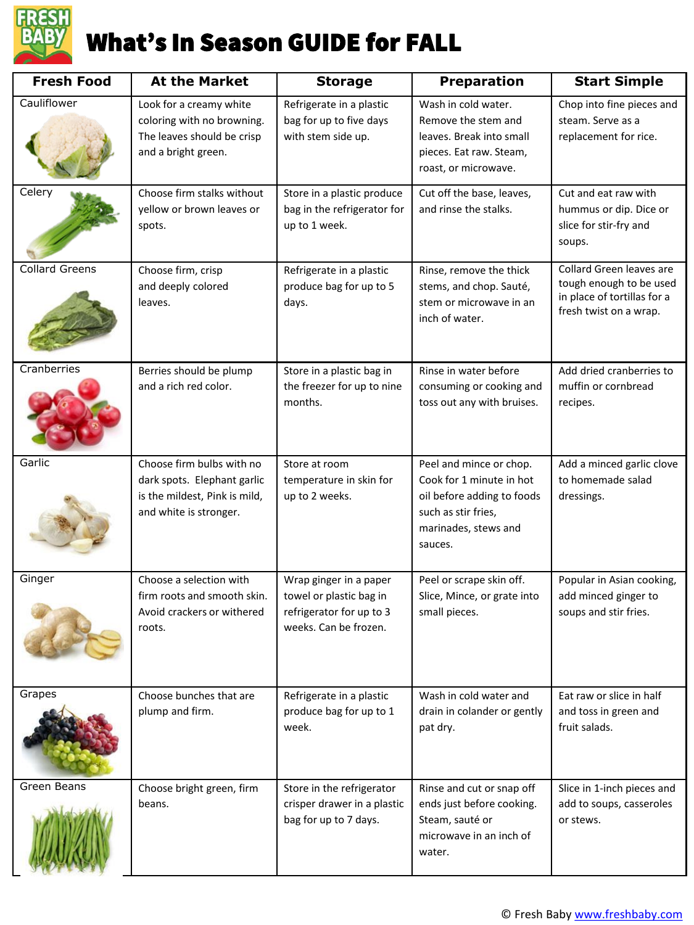

| <b>Fresh Food</b>     | <b>At the Market</b>                                                                                                | <b>Storage</b>                                                                                         | <b>Preparation</b>                                                                                                                          | <b>Start Simple</b>                                                                                          |
|-----------------------|---------------------------------------------------------------------------------------------------------------------|--------------------------------------------------------------------------------------------------------|---------------------------------------------------------------------------------------------------------------------------------------------|--------------------------------------------------------------------------------------------------------------|
| Cauliflower           | Look for a creamy white<br>coloring with no browning.<br>The leaves should be crisp<br>and a bright green.          | Refrigerate in a plastic<br>bag for up to five days<br>with stem side up.                              | Wash in cold water.<br>Remove the stem and<br>leaves. Break into small<br>pieces. Eat raw. Steam,<br>roast, or microwave.                   | Chop into fine pieces and<br>steam. Serve as a<br>replacement for rice.                                      |
| Celery                | Choose firm stalks without<br>yellow or brown leaves or<br>spots.                                                   | Store in a plastic produce<br>bag in the refrigerator for<br>up to 1 week.                             | Cut off the base, leaves,<br>and rinse the stalks.                                                                                          | Cut and eat raw with<br>hummus or dip. Dice or<br>slice for stir-fry and<br>soups.                           |
| <b>Collard Greens</b> | Choose firm, crisp<br>and deeply colored<br>leaves.                                                                 | Refrigerate in a plastic<br>produce bag for up to 5<br>days.                                           | Rinse, remove the thick<br>stems, and chop. Sauté,<br>stem or microwave in an<br>inch of water.                                             | Collard Green leaves are<br>tough enough to be used<br>in place of tortillas for a<br>fresh twist on a wrap. |
| Cranberries           | Berries should be plump<br>and a rich red color.                                                                    | Store in a plastic bag in<br>the freezer for up to nine<br>months.                                     | Rinse in water before<br>consuming or cooking and<br>toss out any with bruises.                                                             | Add dried cranberries to<br>muffin or cornbread<br>recipes.                                                  |
| Garlic                | Choose firm bulbs with no<br>dark spots. Elephant garlic<br>is the mildest, Pink is mild,<br>and white is stronger. | Store at room<br>temperature in skin for<br>up to 2 weeks.                                             | Peel and mince or chop.<br>Cook for 1 minute in hot<br>oil before adding to foods<br>such as stir fries,<br>marinades, stews and<br>sauces. | Add a minced garlic clove<br>to homemade salad<br>dressings.                                                 |
| Ginger                | Choose a selection with<br>firm roots and smooth skin.<br>Avoid crackers or withered<br>roots.                      | Wrap ginger in a paper<br>towel or plastic bag in<br>refrigerator for up to 3<br>weeks. Can be frozen. | Peel or scrape skin off.<br>Slice, Mince, or grate into<br>small pieces.                                                                    | Popular in Asian cooking,<br>add minced ginger to<br>soups and stir fries.                                   |
| Grapes                | Choose bunches that are<br>plump and firm.                                                                          | Refrigerate in a plastic<br>produce bag for up to 1<br>week.                                           | Wash in cold water and<br>drain in colander or gently<br>pat dry.                                                                           | Eat raw or slice in half<br>and toss in green and<br>fruit salads.                                           |
| Green Beans           | Choose bright green, firm<br>beans.                                                                                 | Store in the refrigerator<br>crisper drawer in a plastic<br>bag for up to 7 days.                      | Rinse and cut or snap off<br>ends just before cooking.<br>Steam, sauté or<br>microwave in an inch of<br>water.                              | Slice in 1-inch pieces and<br>add to soups, casseroles<br>or stews.                                          |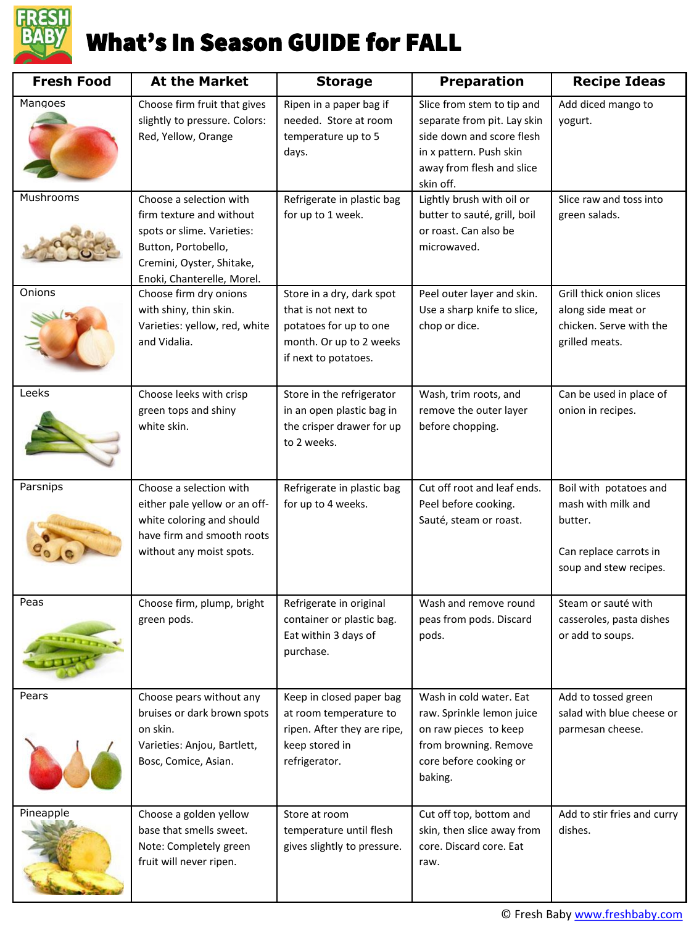

| <b>Fresh Food</b> | <b>At the Market</b>                                                                                                                                                | <b>Storage</b>                                                                                                                | <b>Preparation</b>                                                                                                                                          | <b>Recipe Ideas</b>                                                                                         |
|-------------------|---------------------------------------------------------------------------------------------------------------------------------------------------------------------|-------------------------------------------------------------------------------------------------------------------------------|-------------------------------------------------------------------------------------------------------------------------------------------------------------|-------------------------------------------------------------------------------------------------------------|
| Mangoes           | Choose firm fruit that gives<br>slightly to pressure. Colors:<br>Red, Yellow, Orange                                                                                | Ripen in a paper bag if<br>needed. Store at room<br>temperature up to 5<br>days.                                              | Slice from stem to tip and<br>separate from pit. Lay skin<br>side down and score flesh<br>in x pattern. Push skin<br>away from flesh and slice<br>skin off. | Add diced mango to<br>yogurt.                                                                               |
| Mushrooms         | Choose a selection with<br>firm texture and without<br>spots or slime. Varieties:<br>Button, Portobello,<br>Cremini, Oyster, Shitake,<br>Enoki, Chanterelle, Morel. | Refrigerate in plastic bag<br>for up to 1 week.                                                                               | Lightly brush with oil or<br>butter to sauté, grill, boil<br>or roast. Can also be<br>microwaved.                                                           | Slice raw and toss into<br>green salads.                                                                    |
| Onions            | Choose firm dry onions<br>with shiny, thin skin.<br>Varieties: yellow, red, white<br>and Vidalia.                                                                   | Store in a dry, dark spot<br>that is not next to<br>potatoes for up to one<br>month. Or up to 2 weeks<br>if next to potatoes. | Peel outer layer and skin.<br>Use a sharp knife to slice,<br>chop or dice.                                                                                  | Grill thick onion slices<br>along side meat or<br>chicken. Serve with the<br>grilled meats.                 |
| Leeks             | Choose leeks with crisp<br>green tops and shiny<br>white skin.                                                                                                      | Store in the refrigerator<br>in an open plastic bag in<br>the crisper drawer for up<br>to 2 weeks.                            | Wash, trim roots, and<br>remove the outer layer<br>before chopping.                                                                                         | Can be used in place of<br>onion in recipes.                                                                |
| Parsnips          | Choose a selection with<br>either pale yellow or an off-<br>white coloring and should<br>have firm and smooth roots<br>without any moist spots.                     | Refrigerate in plastic bag<br>for up to 4 weeks.                                                                              | Cut off root and leaf ends.<br>Peel before cooking.<br>Sauté, steam or roast.                                                                               | Boil with potatoes and<br>mash with milk and<br>butter.<br>Can replace carrots in<br>soup and stew recipes. |
| Peas<br>THEFT     | Choose firm, plump, bright<br>green pods.                                                                                                                           | Refrigerate in original<br>container or plastic bag.<br>Eat within 3 days of<br>purchase.                                     | Wash and remove round<br>peas from pods. Discard<br>pods.                                                                                                   | Steam or sauté with<br>casseroles, pasta dishes<br>or add to soups.                                         |
| Pears             | Choose pears without any<br>bruises or dark brown spots<br>on skin.<br>Varieties: Anjou, Bartlett,<br>Bosc, Comice, Asian.                                          | Keep in closed paper bag<br>at room temperature to<br>ripen. After they are ripe,<br>keep stored in<br>refrigerator.          | Wash in cold water. Eat<br>raw. Sprinkle lemon juice<br>on raw pieces to keep<br>from browning. Remove<br>core before cooking or<br>baking.                 | Add to tossed green<br>salad with blue cheese or<br>parmesan cheese.                                        |
| Pineapple         | Choose a golden yellow<br>base that smells sweet.<br>Note: Completely green<br>fruit will never ripen.                                                              | Store at room<br>temperature until flesh<br>gives slightly to pressure.                                                       | Cut off top, bottom and<br>skin, then slice away from<br>core. Discard core. Eat<br>raw.                                                                    | Add to stir fries and curry<br>dishes.                                                                      |